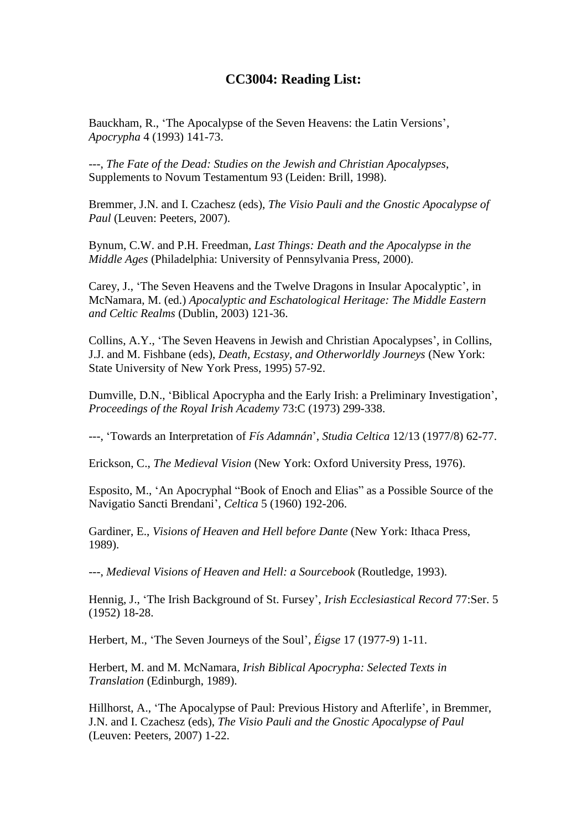## **CC3004: Reading List:**

Bauckham, R., 'The Apocalypse of the Seven Heavens: the Latin Versions', *Apocrypha* 4 (1993) 141-73.

---, *The Fate of the Dead: Studies on the Jewish and Christian Apocalypses*, Supplements to Novum Testamentum 93 (Leiden: Brill, 1998).

Bremmer, J.N. and I. Czachesz (eds), *The Visio Pauli and the Gnostic Apocalypse of Paul* (Leuven: Peeters, 2007).

Bynum, C.W. and P.H. Freedman, *Last Things: Death and the Apocalypse in the Middle Ages* (Philadelphia: University of Pennsylvania Press, 2000).

Carey, J., 'The Seven Heavens and the Twelve Dragons in Insular Apocalyptic', in McNamara, M. (ed.) *Apocalyptic and Eschatological Heritage: The Middle Eastern and Celtic Realms* (Dublin, 2003) 121-36.

Collins, A.Y., 'The Seven Heavens in Jewish and Christian Apocalypses', in Collins, J.J. and M. Fishbane (eds), *Death, Ecstasy, and Otherworldly Journeys* (New York: State University of New York Press, 1995) 57-92.

Dumville, D.N., 'Biblical Apocrypha and the Early Irish: a Preliminary Investigation', *Proceedings of the Royal Irish Academy* 73:C (1973) 299-338.

---, 'Towards an Interpretation of *Fís Adamnán*', *Studia Celtica* 12/13 (1977/8) 62-77.

Erickson, C., *The Medieval Vision* (New York: Oxford University Press, 1976).

Esposito, M., 'An Apocryphal "Book of Enoch and Elias" as a Possible Source of the Navigatio Sancti Brendani', *Celtica* 5 (1960) 192-206.

Gardiner, E., *Visions of Heaven and Hell before Dante* (New York: Ithaca Press, 1989).

---, *Medieval Visions of Heaven and Hell: a Sourcebook* (Routledge, 1993).

Hennig, J., 'The Irish Background of St. Fursey', *Irish Ecclesiastical Record* 77:Ser. 5 (1952) 18-28.

Herbert, M., 'The Seven Journeys of the Soul', *Éigse* 17 (1977-9) 1-11.

Herbert, M. and M. McNamara, *Irish Biblical Apocrypha: Selected Texts in Translation* (Edinburgh, 1989).

Hillhorst, A., 'The Apocalypse of Paul: Previous History and Afterlife', in Bremmer, J.N. and I. Czachesz (eds), *The Visio Pauli and the Gnostic Apocalypse of Paul* (Leuven: Peeters, 2007) 1-22.